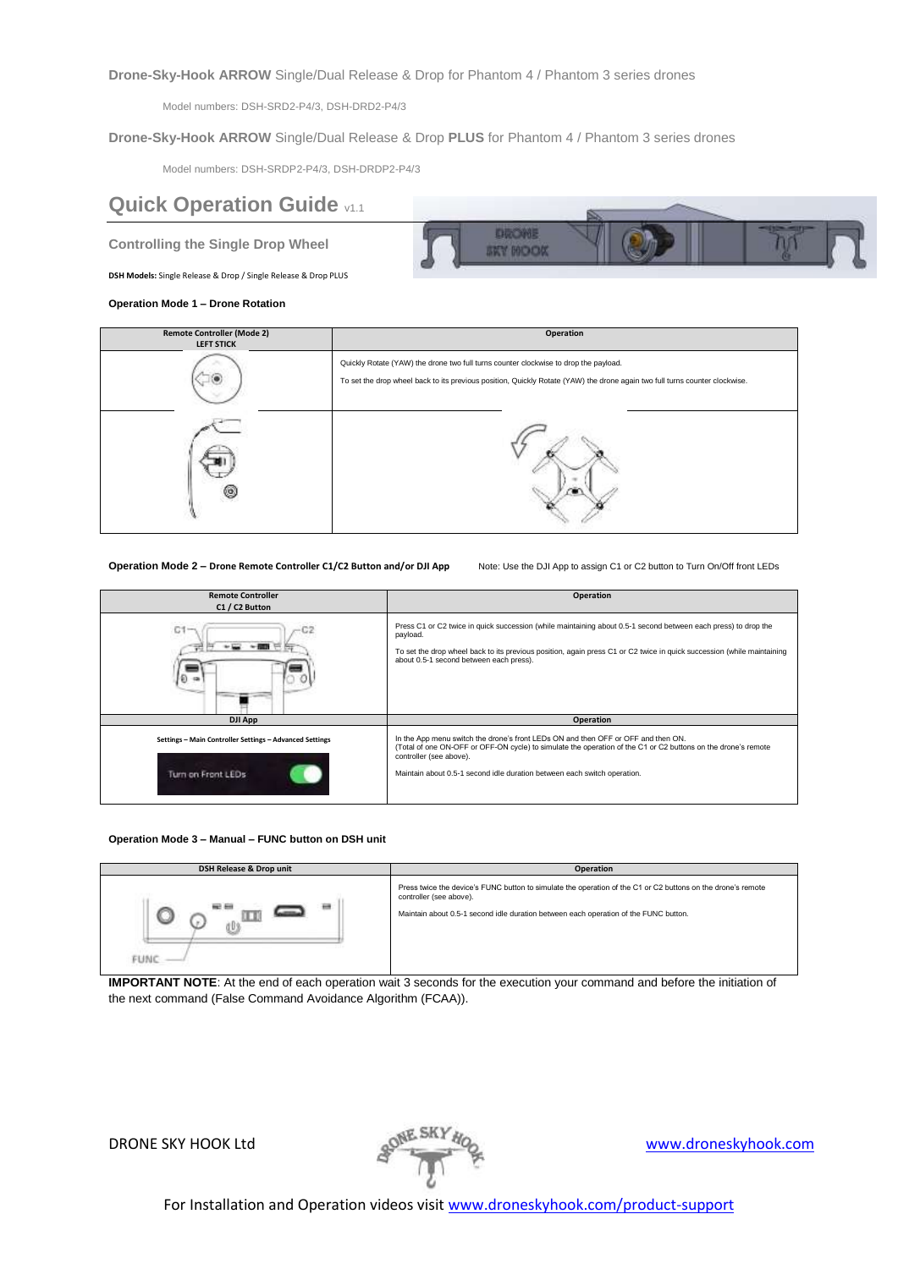**Drone-Sky-Hook ARROW** Single/Dual Release & Drop for Phantom 4 / Phantom 3 series drones

Model numbers: DSH-SRD2-P4/3, DSH-DRD2-P4/3

**Drone-Sky-Hook ARROW** Single/Dual Release & Drop **PLUS** for Phantom 4 / Phantom 3 series drones

Model numbers: DSH-SRDP2-P4/3, DSH-DRDP2-P4/3

# **Quick Operation Guide v1.1**

**Controlling the Single Drop Wheel**

**DSH Models:** Single Release & Drop / Single Release & Drop PLUS

**Operation Mode 1 – Drone Rotation**



| <b>Remote Controller (Mode 2)</b><br><b>LEFT STICK</b> | Operation                                                                                                                                                                                                           |
|--------------------------------------------------------|---------------------------------------------------------------------------------------------------------------------------------------------------------------------------------------------------------------------|
|                                                        | Quickly Rotate (YAW) the drone two full turns counter clockwise to drop the payload.<br>To set the drop wheel back to its previous position, Quickly Rotate (YAW) the drone again two full turns counter clockwise. |
| O                                                      |                                                                                                                                                                                                                     |

**Operation Mode 2 – Drone Remote Controller C1/C2 Button and/or DJI App** Note: Use the DJI App to assign C1 or C2 button to Turn On/Off front LEDs

| <b>Remote Controller</b><br>C1 / C2 Button                                    | Operation                                                                                                                                                                                                                                                                                                 |
|-------------------------------------------------------------------------------|-----------------------------------------------------------------------------------------------------------------------------------------------------------------------------------------------------------------------------------------------------------------------------------------------------------|
| C1<br>$\circ$                                                                 | Press C1 or C2 twice in quick succession (while maintaining about 0.5-1 second between each press) to drop the<br>payload.<br>To set the drop wheel back to its previous position, again press C1 or C2 twice in quick succession (while maintaining<br>about 0.5-1 second between each press).           |
| <b>DJI App</b>                                                                | Operation                                                                                                                                                                                                                                                                                                 |
| Settings - Main Controller Settings - Advanced Settings<br>Turn on Front LEDs | In the App menu switch the drone's front LEDs ON and then OFF or OFF and then ON.<br>(Total of one ON-OFF or OFF-ON cycle) to simulate the operation of the C1 or C2 buttons on the drone's remote<br>controller (see above).<br>Maintain about 0.5-1 second idle duration between each switch operation. |

## **Operation Mode 3 – Manual – FUNC button on DSH unit**

| DSH Release & Drop unit | Operation                                                                                                                                                                                                                       |
|-------------------------|---------------------------------------------------------------------------------------------------------------------------------------------------------------------------------------------------------------------------------|
| --                      | Press twice the device's FUNC button to simulate the operation of the C1 or C2 buttons on the drone's remote<br>controller (see above).<br>Maintain about 0.5-1 second idle duration between each operation of the FUNC button. |

**IMPORTANT NOTE**: At the end of each operation wait 3 seconds for the execution your command and before the initiation of the next command (False Command Avoidance Algorithm (FCAA)).

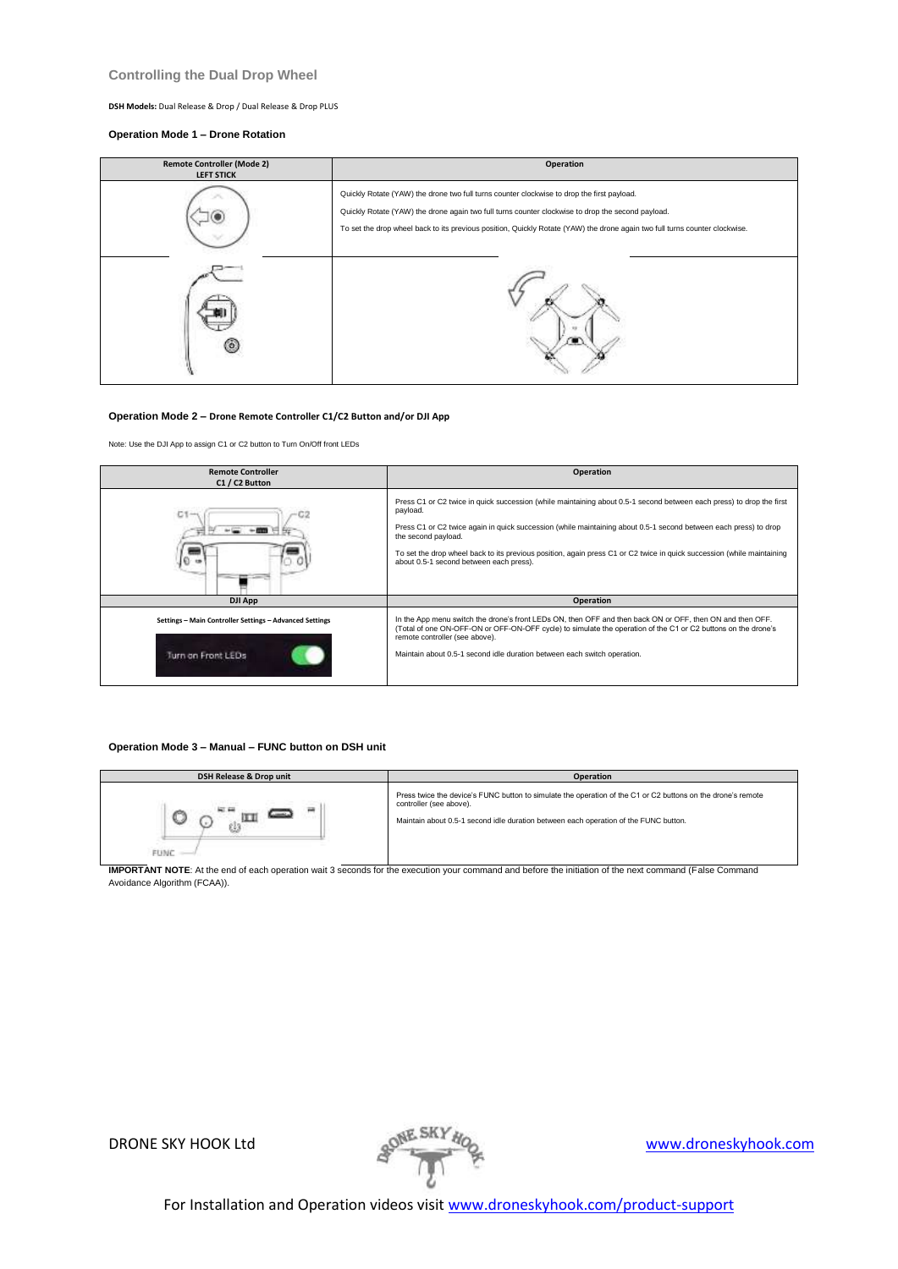## **Controlling the Dual Drop Wheel**

**DSH Models:** Dual Release & Drop / Dual Release & Drop PLUS

## **Operation Mode 1 – Drone Rotation**

| <b>Remote Controller (Mode 2)</b><br><b>LEFT STICK</b> | Operation                                                                                                                                                                                                                                                                                                                      |
|--------------------------------------------------------|--------------------------------------------------------------------------------------------------------------------------------------------------------------------------------------------------------------------------------------------------------------------------------------------------------------------------------|
|                                                        | Quickly Rotate (YAW) the drone two full turns counter clockwise to drop the first payload.<br>Quickly Rotate (YAW) the drone again two full turns counter clockwise to drop the second payload.<br>To set the drop wheel back to its previous position, Quickly Rotate (YAW) the drone again two full turns counter clockwise. |
| o                                                      |                                                                                                                                                                                                                                                                                                                                |

## **Operation Mode 2 – Drone Remote Controller C1/C2 Button and/or DJI App**

Note: Use the DJI App to assign C1 or C2 button to Turn On/Off front LEDs

| <b>Remote Controller</b><br>C1 / C2 Button                                    | Operation                                                                                                                                                                                                                                                                                                                                                                                                                                        |
|-------------------------------------------------------------------------------|--------------------------------------------------------------------------------------------------------------------------------------------------------------------------------------------------------------------------------------------------------------------------------------------------------------------------------------------------------------------------------------------------------------------------------------------------|
| C١                                                                            | Press C1 or C2 twice in quick succession (while maintaining about 0.5-1 second between each press) to drop the first<br>payload.<br>Press C1 or C2 twice again in quick succession (while maintaining about 0.5-1 second between each press) to drop<br>the second payload.<br>To set the drop wheel back to its previous position, again press C1 or C2 twice in quick succession (while maintaining<br>about 0.5-1 second between each press). |
| <b>DJI App</b>                                                                | Operation                                                                                                                                                                                                                                                                                                                                                                                                                                        |
| Settings - Main Controller Settings - Advanced Settings<br>Turn on Front LEDs | In the App menu switch the drone's front LEDs ON, then OFF and then back ON or OFF, then ON and then OFF.<br>(Total of one ON-OFF-ON or OFF-ON-OFF cycle) to simulate the operation of the C1 or C2 buttons on the drone's<br>remote controller (see above).<br>Maintain about 0.5-1 second idle duration between each switch operation.                                                                                                         |

## **Operation Mode 3 – Manual – FUNC button on DSH unit**

| <b>DSH Release &amp; Drop unit</b>                                                                                                                             | <b>Operation</b>                                                                                                                                                                                                                |
|----------------------------------------------------------------------------------------------------------------------------------------------------------------|---------------------------------------------------------------------------------------------------------------------------------------------------------------------------------------------------------------------------------|
| 譶<br><b>FUNC</b>                                                                                                                                               | Press twice the device's FUNC button to simulate the operation of the C1 or C2 buttons on the drone's remote<br>controller (see above).<br>Maintain about 0.5-1 second idle duration between each operation of the FUNC button. |
| <b>IMPORTANT NOTE:</b> At the end of each operation wait 3 seconds for the execution your command and before the initiation of the next command (Ealse Command |                                                                                                                                                                                                                                 |

**IMPORTANT NOTE**: At the end of each operation wait 3 seconds for the execution your command and before the initiation of the next command (False Command Avoidance Algorithm (FCAA)).